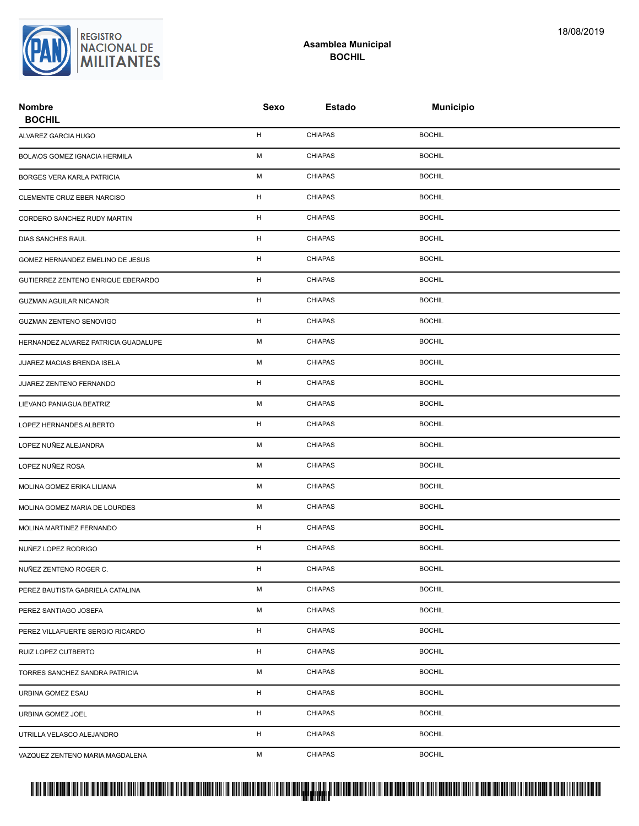**REGISTRO** NACIONAL DE **MILITANTES** 

| <b>Nombre</b><br><b>BOCHIL</b>       | Sexo | <b>Estado</b>  | <b>Municipio</b> |  |
|--------------------------------------|------|----------------|------------------|--|
| ALVAREZ GARCIA HUGO                  | H    | <b>CHIAPAS</b> | <b>BOCHIL</b>    |  |
| BOLAIOS GOMEZ IGNACIA HERMILA        | М    | <b>CHIAPAS</b> | <b>BOCHIL</b>    |  |
| BORGES VERA KARLA PATRICIA           | М    | <b>CHIAPAS</b> | <b>BOCHIL</b>    |  |
| CLEMENTE CRUZ EBER NARCISO           | H    | <b>CHIAPAS</b> | <b>BOCHIL</b>    |  |
| CORDERO SANCHEZ RUDY MARTIN          | H    | <b>CHIAPAS</b> | <b>BOCHIL</b>    |  |
| DIAS SANCHES RAUL                    | H    | <b>CHIAPAS</b> | <b>BOCHIL</b>    |  |
| GOMEZ HERNANDEZ EMELINO DE JESUS     | H    | <b>CHIAPAS</b> | <b>BOCHIL</b>    |  |
| GUTIERREZ ZENTENO ENRIQUE EBERARDO   | H    | <b>CHIAPAS</b> | <b>BOCHIL</b>    |  |
| <b>GUZMAN AGUILAR NICANOR</b>        | H    | <b>CHIAPAS</b> | <b>BOCHIL</b>    |  |
| <b>GUZMAN ZENTENO SENOVIGO</b>       | H    | <b>CHIAPAS</b> | <b>BOCHIL</b>    |  |
| HERNANDEZ ALVAREZ PATRICIA GUADALUPE | М    | <b>CHIAPAS</b> | <b>BOCHIL</b>    |  |
| JUAREZ MACIAS BRENDA ISELA           | М    | <b>CHIAPAS</b> | <b>BOCHIL</b>    |  |
| JUAREZ ZENTENO FERNANDO              | H    | <b>CHIAPAS</b> | <b>BOCHIL</b>    |  |
| LIEVANO PANIAGUA BEATRIZ             | М    | <b>CHIAPAS</b> | <b>BOCHIL</b>    |  |
| LOPEZ HERNANDES ALBERTO              | H    | <b>CHIAPAS</b> | <b>BOCHIL</b>    |  |
| LOPEZ NUÑEZ ALEJANDRA                | М    | <b>CHIAPAS</b> | <b>BOCHIL</b>    |  |
| LOPEZ NUÑEZ ROSA                     | М    | <b>CHIAPAS</b> | <b>BOCHIL</b>    |  |
| MOLINA GOMEZ ERIKA LILIANA           | М    | <b>CHIAPAS</b> | <b>BOCHIL</b>    |  |
| MOLINA GOMEZ MARIA DE LOURDES        | М    | <b>CHIAPAS</b> | <b>BOCHIL</b>    |  |
| MOLINA MARTINEZ FERNANDO             | H    | <b>CHIAPAS</b> | <b>BOCHIL</b>    |  |
| NUÑEZ LOPEZ RODRIGO                  | H    | <b>CHIAPAS</b> | <b>BOCHIL</b>    |  |
| NUÑEZ ZENTENO ROGER C.               | н    | <b>CHIAPAS</b> | <b>BOCHIL</b>    |  |
| PEREZ BAUTISTA GABRIELA CATALINA     | M    | <b>CHIAPAS</b> | <b>BOCHIL</b>    |  |
| PEREZ SANTIAGO JOSEFA                | М    | <b>CHIAPAS</b> | <b>BOCHIL</b>    |  |
| PEREZ VILLAFUERTE SERGIO RICARDO     | H    | <b>CHIAPAS</b> | <b>BOCHIL</b>    |  |
| RUIZ LOPEZ CUTBERTO                  | н    | <b>CHIAPAS</b> | <b>BOCHIL</b>    |  |
| TORRES SANCHEZ SANDRA PATRICIA       | М    | <b>CHIAPAS</b> | <b>BOCHIL</b>    |  |
| URBINA GOMEZ ESAU                    | H    | <b>CHIAPAS</b> | <b>BOCHIL</b>    |  |
| URBINA GOMEZ JOEL                    | H    | <b>CHIAPAS</b> | <b>BOCHIL</b>    |  |
| UTRILLA VELASCO ALEJANDRO            | H    | <b>CHIAPAS</b> | <b>BOCHIL</b>    |  |
| VAZQUEZ ZENTENO MARIA MAGDALENA      | М    | <b>CHIAPAS</b> | <b>BOCHIL</b>    |  |

**Asamblea Municipal BOCHIL**

## PROTUCCION SU REGION DA SU REGIONAL DE LA SULTA SU REGIONAL DE MILITANTES CONTRADO NACIONAL DE MILITANTES CONTRADO N <mark>. Pangyakan k</mark>